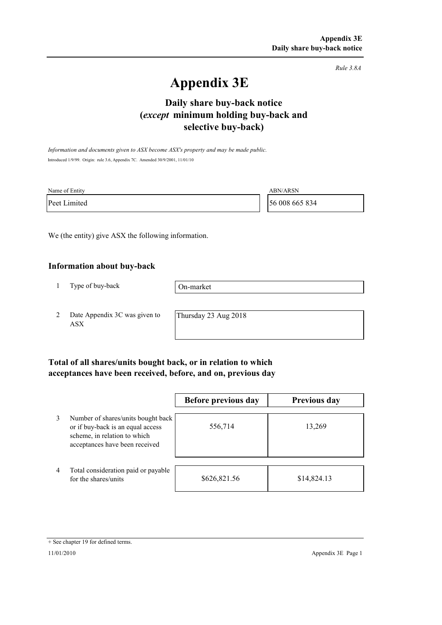*Rule 3.8A*

# **Appendix 3E**

# **selective buy-back) Daily share buy-back notice (***except* **minimum holding buy-back and**

*Information and documents given to ASX become ASX's property and may be made public.* Introduced 1/9/99. Origin: rule 3.6, Appendix 7C. Amended 30/9/2001, 11/01/10

| Name of Entity | <b>ABN/ARSN</b> |
|----------------|-----------------|
| Peet Limited   | 56 008 665 834  |

We (the entity) give ASX the following information.

#### **Information about buy-back**

1 Type of buy-back

On-market

2 Date Appendix 3C was given to ASX

Thursday 23 Aug 2018

### **Total of all shares/units bought back, or in relation to which acceptances have been received, before, and on, previous day**

|                |                                                                                                                                           | Before previous day | <b>Previous day</b> |
|----------------|-------------------------------------------------------------------------------------------------------------------------------------------|---------------------|---------------------|
| 3              | Number of shares/units bought back<br>or if buy-back is an equal access<br>scheme, in relation to which<br>acceptances have been received | 556,714             | 13,269              |
| $\overline{4}$ | Total consideration paid or payable<br>for the shares/units                                                                               | \$626,821.56        | \$14,824.13         |

<sup>+</sup> See chapter 19 for defined terms.